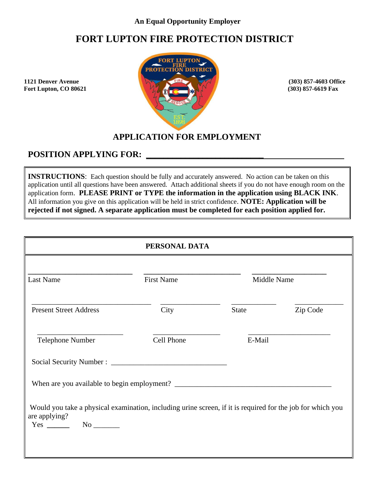### **An Equal Opportunity Employer**

# **FORT LUPTON FIRE PROTECTION DISTRICT**

**Fort Lupton, CO 80621** 



## **APPLICATION FOR EMPLOYMENT**

## POSITION APPLYING FOR:

**INSTRUCTIONS:** Each question should be fully and accurately answered. No action can be taken on this application until all questions have been answered. Attach additional sheets if you do not have enough room on the application form. **PLEASE PRINT or TYPE the information in the application using BLACK INK**. All information you give on this application will be held in strict confidence. **NOTE: Application will be rejected if not signed. A separate application must be completed for each position applied for.**

|                                                                                                                             | PERSONAL DATA     |        |             |
|-----------------------------------------------------------------------------------------------------------------------------|-------------------|--------|-------------|
| Last Name                                                                                                                   | <b>First Name</b> |        | Middle Name |
| <b>Present Street Address</b>                                                                                               | City              | State  | Zip Code    |
| <b>Telephone Number</b>                                                                                                     | Cell Phone        | E-Mail |             |
|                                                                                                                             |                   |        |             |
|                                                                                                                             |                   |        |             |
| Would you take a physical examination, including urine screen, if it is required for the job for which you<br>are applying? |                   |        |             |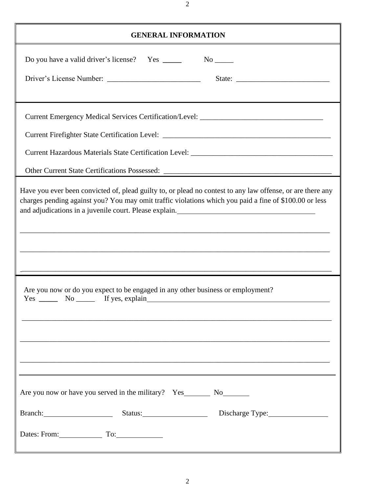| <b>GENERAL INFORMATION</b>                                                                                                                                                                                                                                                          |  |  |  |  |  |
|-------------------------------------------------------------------------------------------------------------------------------------------------------------------------------------------------------------------------------------------------------------------------------------|--|--|--|--|--|
|                                                                                                                                                                                                                                                                                     |  |  |  |  |  |
| Current Emergency Medical Services Certification/Level: _________________________                                                                                                                                                                                                   |  |  |  |  |  |
| Have you ever been convicted of, plead guilty to, or plead no contest to any law offense, or are there any<br>charges pending against you? You may omit traffic violations which you paid a fine of \$100.00 or less<br><u> 1989 - Johann Stoff, amerikansk politiker (d. 1989)</u> |  |  |  |  |  |
| Are you now or do you expect to be engaged in any other business or employment?<br><u> 1989 - Johann Barbara, martxa al III-lea (h. 1989).</u><br>,我们也不能在这里的时候,我们也不能在这里的时候,我们也不能在这里的时候,我们也不能会在这里的时候,我们也不能会在这里的时候,我们也不能会在这里的时候,我们也不能                                                 |  |  |  |  |  |
|                                                                                                                                                                                                                                                                                     |  |  |  |  |  |
| Branch: Status: Status: Discharge Type: Manual Article of Status: Discharge Type:                                                                                                                                                                                                   |  |  |  |  |  |
| Dates: From: To: To:                                                                                                                                                                                                                                                                |  |  |  |  |  |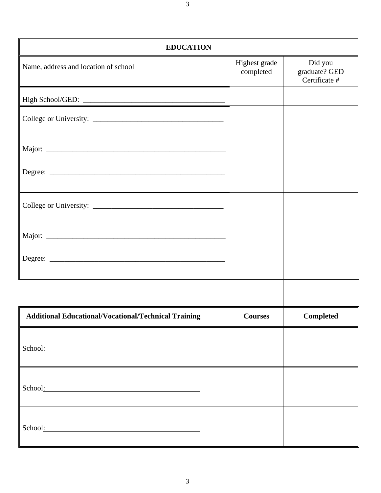| <b>EDUCATION</b>                     |                            |                                           |
|--------------------------------------|----------------------------|-------------------------------------------|
| Name, address and location of school | Highest grade<br>completed | Did you<br>graduate? GED<br>Certificate # |
| High School/GED:                     |                            |                                           |
|                                      |                            |                                           |
|                                      |                            |                                           |
|                                      |                            |                                           |
|                                      |                            |                                           |
|                                      |                            |                                           |
|                                      |                            |                                           |
|                                      |                            |                                           |

| <b>Additional Educational/Vocational/Technical Training</b> | <b>Courses</b> | <b>Completed</b> |
|-------------------------------------------------------------|----------------|------------------|
| School:                                                     |                |                  |
| School:                                                     |                |                  |
| School:                                                     |                |                  |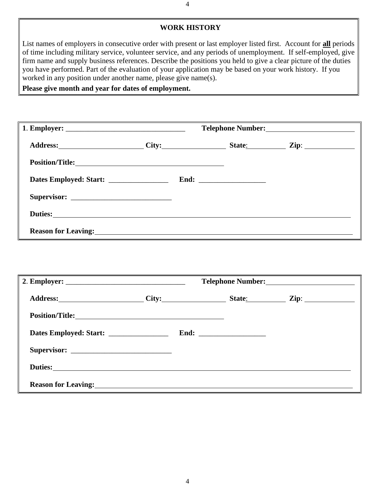#### **WORK HISTORY**

List names of employers in consecutive order with present or last employer listed first. Account for **all** periods of time including military service, volunteer service, and any periods of unemployment. If self-employed, give firm name and supply business references. Describe the positions you held to give a clear picture of the duties you have performed. Part of the evaluation of your application may be based on your work history. If you worked in any position under another name, please give name(s).

**Please give month and year for dates of employment.**

| Address: City: City: State: Zip: Zip:                                                  |  |  |  |  |  |
|----------------------------------------------------------------------------------------|--|--|--|--|--|
|                                                                                        |  |  |  |  |  |
| Dates Employed: Start: __________________                                              |  |  |  |  |  |
|                                                                                        |  |  |  |  |  |
| Duties: <u>Duties:</u> <b>Example 2018</b>                                             |  |  |  |  |  |
| Reason for Leaving: <u>New York: and Southern Community of the Season for Leaving:</u> |  |  |  |  |  |

| Position/Title:            |  |  |                      |  |
|----------------------------|--|--|----------------------|--|
| Dates Employed: Start:     |  |  | End: $\qquad \qquad$ |  |
|                            |  |  |                      |  |
|                            |  |  |                      |  |
| <b>Reason for Leaving:</b> |  |  |                      |  |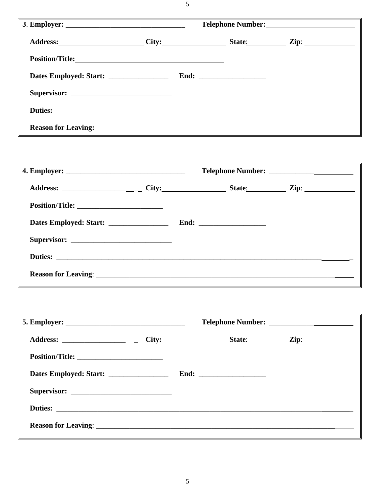5

| Address: City: City: State: Zip: Zip:                                                                                                                                                                                                |  |  |                    |  |
|--------------------------------------------------------------------------------------------------------------------------------------------------------------------------------------------------------------------------------------|--|--|--------------------|--|
| Position/Title:                                                                                                                                                                                                                      |  |  |                    |  |
| Dates Employed: Start: ________________                                                                                                                                                                                              |  |  | $\text{End:}\quad$ |  |
|                                                                                                                                                                                                                                      |  |  |                    |  |
|                                                                                                                                                                                                                                      |  |  |                    |  |
| Reason for Leaving: <u>contract and a series of the series of the series of the series of the series of the series of the series of the series of the series of the series of the series of the series of the series of the seri</u> |  |  |                    |  |

| Dates Employed: Start: ___________________ |  |  |  |  |
|--------------------------------------------|--|--|--|--|
|                                            |  |  |  |  |
|                                            |  |  |  |  |
|                                            |  |  |  |  |

| Dates Employed: Start: _________________ |  |  |  |  |
|------------------------------------------|--|--|--|--|
|                                          |  |  |  |  |
|                                          |  |  |  |  |
|                                          |  |  |  |  |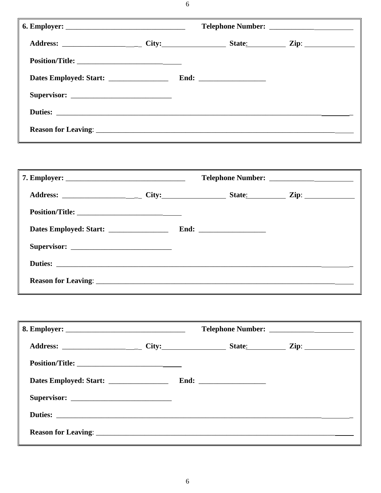| Dates Employed: Start: _________________ |  |  |  |  |
|------------------------------------------|--|--|--|--|
|                                          |  |  |  |  |
|                                          |  |  |  |  |
|                                          |  |  |  |  |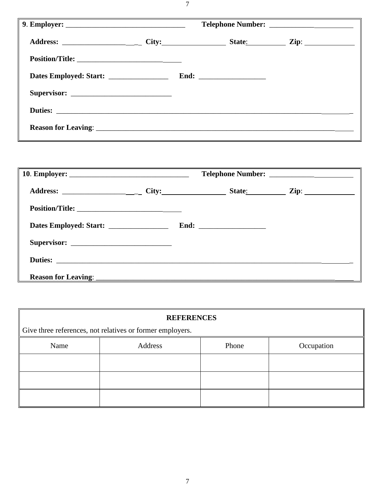| Duties: |  |  |  |  |
|---------|--|--|--|--|
|         |  |  |  |  |

|  |  |  | State: Zip: 2001 |  |
|--|--|--|------------------|--|
|  |  |  |                  |  |
|  |  |  |                  |  |
|  |  |  |                  |  |
|  |  |  |                  |  |
|  |  |  |                  |  |

| <b>REFERENCES</b>                                         |         |       |            |  |  |  |  |
|-----------------------------------------------------------|---------|-------|------------|--|--|--|--|
| Give three references, not relatives or former employers. |         |       |            |  |  |  |  |
| Name                                                      | Address | Phone | Occupation |  |  |  |  |
|                                                           |         |       |            |  |  |  |  |
|                                                           |         |       |            |  |  |  |  |
|                                                           |         |       |            |  |  |  |  |